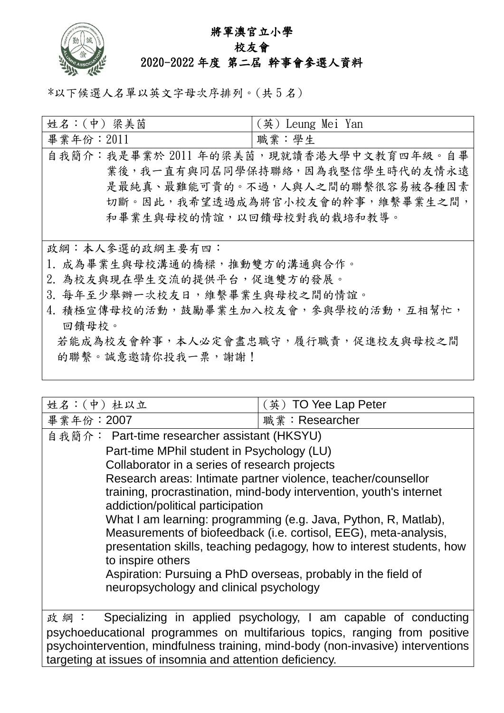

## 將軍澳官立小學

## 校友會 2020-2022 年度 第二屆 幹事會參選人資料

\*以下候選人名單以英文字母次序排列。(共 5 名)

| 姓名:(中) 梁美茵                             | (英) Leung Mei Yan |
|----------------------------------------|-------------------|
| 畢業年份: $2011$                           | 職業:學生             |
| 自我簡介:我是畢業於 2011年的梁美茵,現就讀香港大學中文教育四年級。自畢 |                   |
| 業後,我一直有與同屆同學保持聯絡,因為我堅信學生時代的友情永遠        |                   |
| 是最純真、最難能可貴的。不過,人與人之間的聯繫很容易被各種因素        |                   |
| 切斷。因此,我希望透過成為將官小校友會的幹事,維繫畢業生之間,        |                   |
| 和畢業生與母校的情誼,以回饋母校對我的栽培和教導。              |                   |
|                                        |                   |
| 政綱:本人參選的政綱主要有四:                        |                   |
| 1. 成為畢業生與母校溝通的橋樑,推動雙方的溝通與合作。           |                   |
| 2. 為校友與現在學生交流的提供平台,促進雙方的發展。            |                   |
| 3. 每年至少舉辦一次校友日,維繫畢業生與母校之間的情誼。          |                   |
| 4. 積極宣傳母校的活動,鼓勵畢業生加入校友會,參與學校的活動,互相幫忙,  |                   |
| 回饋母校。                                  |                   |
| 若能成為校友會幹事,本人必定會盡忠職守,履行職責,促進校友與母校之間     |                   |
| 的聯繫。誠意邀請你投我一票,謝謝!                      |                   |
|                                        |                   |

| 姓名:(中)杜以立                                                                        | (英) TO Yee Lap Peter                                                 |  |
|----------------------------------------------------------------------------------|----------------------------------------------------------------------|--|
| 畢業年份: 2007                                                                       | 職業: Researcher                                                       |  |
| 自我簡介: Part-time researcher assistant (HKSYU)                                     |                                                                      |  |
| Part-time MPhil student in Psychology (LU)                                       |                                                                      |  |
| Collaborator in a series of research projects                                    |                                                                      |  |
| Research areas: Intimate partner violence, teacher/counsellor                    |                                                                      |  |
| training, procrastination, mind-body intervention, youth's internet              |                                                                      |  |
| addiction/political participation                                                |                                                                      |  |
| What I am learning: programming (e.g. Java, Python, R, Matlab),                  |                                                                      |  |
| Measurements of biofeedback (i.e. cortisol, EEG), meta-analysis,                 |                                                                      |  |
| presentation skills, teaching pedagogy, how to interest students, how            |                                                                      |  |
| to inspire others                                                                |                                                                      |  |
| Aspiration: Pursuing a PhD overseas, probably in the field of                    |                                                                      |  |
| neuropsychology and clinical psychology                                          |                                                                      |  |
|                                                                                  |                                                                      |  |
|                                                                                  | 政 綱 : Specializing in applied psychology, I am capable of conducting |  |
| psychoeducational programmes on multifarious topics, ranging from positive       |                                                                      |  |
| psychointervention, mindfulness training, mind-body (non-invasive) interventions |                                                                      |  |
| targeting at issues of insomnia and attention deficiency.                        |                                                                      |  |
|                                                                                  |                                                                      |  |